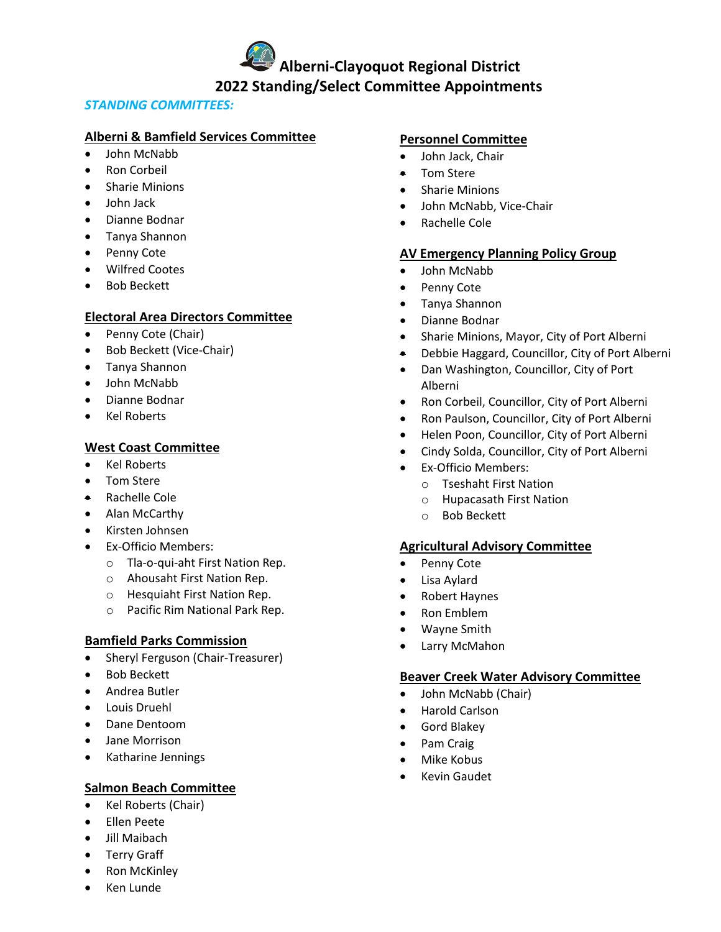**Alberni-Clayoquot Regional District 2022 Standing/Select Committee Appointments**

# *STANDING COMMITTEES:*

# **Alberni & Bamfield Services Committee**

- John McNabb
- Ron Corbeil
- **Sharie Minions**
- John Jack
- Dianne Bodnar
- Tanya Shannon
- Penny Cote
- Wilfred Cootes
- Bob Beckett

# **Electoral Area Directors Committee**

- Penny Cote (Chair)
- Bob Beckett (Vice-Chair)
- Tanya Shannon
- John McNabb
- Dianne Bodnar
- Kel Roberts

# **West Coast Committee**

- Kel Roberts
- Tom Stere
- Rachelle Cole
- Alan McCarthy
- Kirsten Johnsen
- Ex-Officio Members:
	- o Tla-o-qui-aht First Nation Rep.
	- o Ahousaht First Nation Rep.
	- o Hesquiaht First Nation Rep.
	- o Pacific Rim National Park Rep.

# **Bamfield Parks Commission**

- Sheryl Ferguson (Chair-Treasurer)
- Bob Beckett
- Andrea Butler
- Louis Druehl
- Dane Dentoom
- Jane Morrison
- Katharine Jennings

# **Salmon Beach Committee**

- Kel Roberts (Chair)
- Ellen Peete
- Jill Maibach
- Terry Graff
- Ron McKinley
- Ken Lunde

# **Personnel Committee**

- John Jack, Chair
- Tom Stere
- Sharie Minions
- John McNabb, Vice-Chair
- Rachelle Cole

# **AV Emergency Planning Policy Group**

- John McNabb
- Penny Cote
- Tanya Shannon
- Dianne Bodnar
- Sharie Minions, Mayor, City of Port Alberni
- Debbie Haggard, Councillor, City of Port Alberni
- Dan Washington, Councillor, City of Port Alberni
- Ron Corbeil, Councillor, City of Port Alberni
- Ron Paulson, Councillor, City of Port Alberni
- Helen Poon, Councillor, City of Port Alberni
- Cindy Solda, Councillor, City of Port Alberni
- Ex-Officio Members:
	- o Tseshaht First Nation
	- o Hupacasath First Nation
	- o Bob Beckett

# **Agricultural Advisory Committee**

- Penny Cote
- Lisa Aylard
- Robert Haynes
- Ron Emblem
- Wayne Smith
- Larry McMahon

## **Beaver Creek Water Advisory Committee**

- John McNabb (Chair)
- Harold Carlson
- Gord Blakey
- Pam Craig
- Mike Kobus
- Kevin Gaudet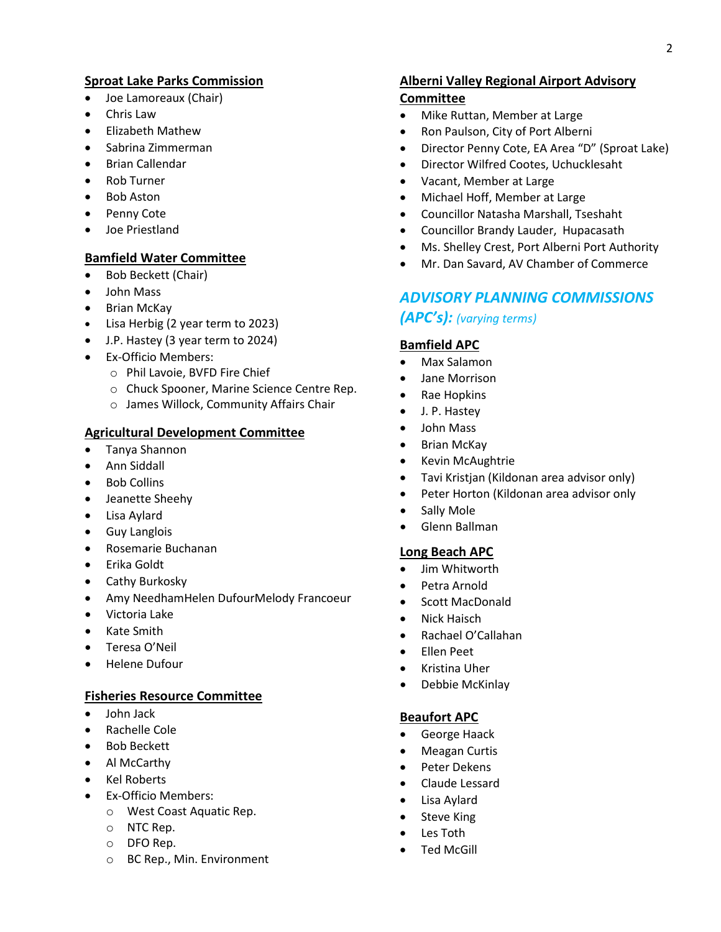# **Sproat Lake Parks Commission**

- Joe Lamoreaux (Chair)
- Chris Law
- Elizabeth Mathew
- Sabrina Zimmerman
- Brian Callendar
- Rob Turner
- Bob Aston
- Penny Cote
- Joe Priestland

## **Bamfield Water Committee**

- Bob Beckett (Chair)
- John Mass
- Brian McKay
- Lisa Herbig (2 year term to 2023)
- J.P. Hastey (3 year term to 2024)
- Ex-Officio Members:
	- o Phil Lavoie, BVFD Fire Chief
	- o Chuck Spooner, Marine Science Centre Rep.
	- o James Willock, Community Affairs Chair

## **Agricultural Development Committee**

- Tanya Shannon
- Ann Siddall
- Bob Collins
- Jeanette Sheehy
- Lisa Aylard
- Guy Langlois
- Rosemarie Buchanan
- Erika Goldt
- Cathy Burkosky
- Amy NeedhamHelen DufourMelody Francoeur
- Victoria Lake
- Kate Smith
- Teresa O'Neil
- Helene Dufour

#### **Fisheries Resource Committee**

- John Jack
- Rachelle Cole
- Bob Beckett
- Al McCarthy
- Kel Roberts
- Ex-Officio Members:
	- o West Coast Aquatic Rep.
	- o NTC Rep.
	- o DFO Rep.
	- o BC Rep., Min. Environment

# **Alberni Valley Regional Airport Advisory**

# **Committee**

- Mike Ruttan, Member at Large
- Ron Paulson, City of Port Alberni
- Director Penny Cote, EA Area "D" (Sproat Lake)
- Director Wilfred Cootes, Uchucklesaht
- Vacant, Member at Large
- Michael Hoff, Member at Large
- Councillor Natasha Marshall, Tseshaht
- Councillor Brandy Lauder, Hupacasath
- Ms. Shelley Crest, Port Alberni Port Authority
- Mr. Dan Savard, AV Chamber of Commerce

# *ADVISORY PLANNING COMMISSIONS (APC's): (varying terms)*

## **Bamfield APC**

- Max Salamon
- Jane Morrison
- Rae Hopkins
- J. P. Hastey
- John Mass
- Brian McKay
- Kevin McAughtrie
- Tavi Kristjan (Kildonan area advisor only)
- Peter Horton (Kildonan area advisor only
- Sally Mole
- Glenn Ballman

# **Long Beach APC**

- Jim Whitworth
- Petra Arnold
- Scott MacDonald
- Nick Haisch
- Rachael O'Callahan
- Ellen Peet
- Kristina Uher
- Debbie McKinlay

#### **Beaufort APC**

- George Haack
- Meagan Curtis
- Peter Dekens
- Claude Lessard
- Lisa Aylard
- Steve King
- Les Toth
- Ted McGill